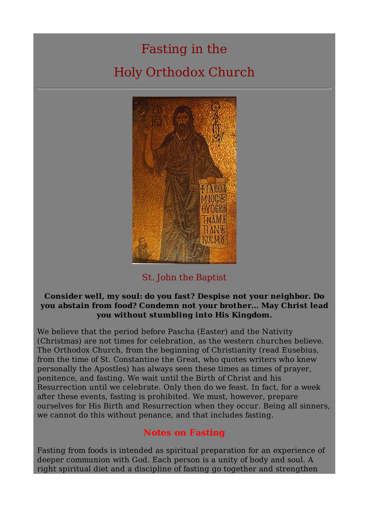# Fasting in the Holy Orthodox Church



St. John the Baptist

#### **Consider well, my soul: do you fast? Despise not your neighbor. Do you abstain from food? Condemn not your brother... May Christ lead you without stumbling into His Kingdom.**

We believe that the period before Pascha (Easter) and the Nativity (Christmas) are not times for celebration, as the western churches believe. The Orthodox Church, from the beginning of Christianity (read Eusebius, from the time of St. Constantine the Great, who quotes writers who knew personally the Apostles) has always seen these times as times of prayer, penitence, and fasting. We wait until the Birth of Christ and his Resurrection until we celebrate. Only then do we feast. In fact, for a week after these events, fasting is prohibited. We must, however, prepare ourselves for His Birth and Resurrection when they occur. Being all sinners, we cannot do this without penance, and that includes fasting.

## **Notes on Fasting**

Fasting from foods is intended as spiritual preparation for an experience of deeper communion with God. Each person is a unity of body and soul. A right spiritual diet and a discipline of fasting go together and strengthen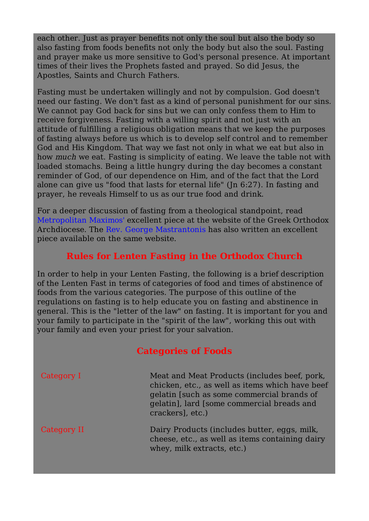each other. Just as prayer benefits not only the soul but also the body so also fasting from foods benefits not only the body but also the soul. Fasting and prayer make us more sensitive to God's personal presence. At important times of their lives the Prophets fasted and prayed. So did Jesus, the Apostles, Saints and Church Fathers.

Fasting must be undertaken willingly and not by compulsion. God doesn't need our fasting. We don't fast as a kind of personal punishment for our sins. We cannot pay God back for sins but we can only confess them to Him to receive forgiveness. Fasting with a willing spirit and not just with an attitude of fulfilling a religious obligation means that we keep the purposes of fasting always before us which is to develop self control and to remember God and His Kingdom. That way we fast not only in what we eat but also in how much we eat. Fasting is simplicity of eating. We leave the table not with loaded stomachs. Being a little hungry during the day becomes a constant reminder of God, of our dependence on Him, and of the fact that the Lord alone can give us "food that lasts for eternal life" (Jn 6:27). In fasting and prayer, he reveals Himself to us as our true food and drink.

For a deeper discussion of fasting from a theological standpoint, read Metropolitan Maximos' excellent piece at the website of the Greek Orthodox Archdiocese. The Rev. George Mastrantonis has also written an excellent piece available on the same website.

## **Rules for Lenten Fasting in the Orthodox Church**

In order to help in your Lenten Fasting, the following is a brief description of the Lenten Fast in terms of categories of food and times of abstinence of foods from the various categories. The purpose of this outline of the regulations on fasting is to help educate you on fasting and abstinence in general. This is the "letter of the law" on fasting. It is important for you and your family to participate in the "spirit of the law", working this out with your family and even your priest for your salvation.

### **Categories of Foods**

| Category I  | Meat and Meat Products (includes beef, pork,<br>chicken, etc., as well as items which have beef<br>gelatin [such as some commercial brands of<br>gelatin], lard [some commercial breads and<br>crackers, etc.) |
|-------------|----------------------------------------------------------------------------------------------------------------------------------------------------------------------------------------------------------------|
| Category II | Dairy Products (includes butter, eggs, milk,<br>cheese, etc., as well as items containing dairy<br>whey, milk extracts, etc.)                                                                                  |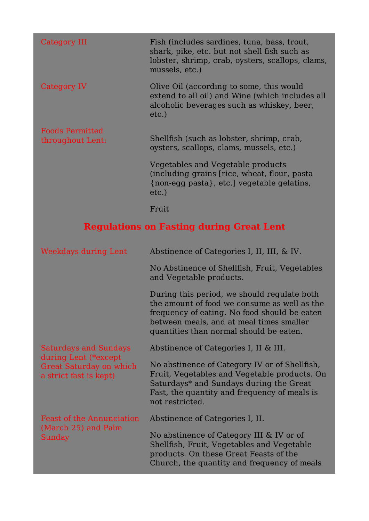| Category III                                    | Fish (includes sardines, tuna, bass, trout,<br>shark, pike, etc. but not shell fish such as<br>lobster, shrimp, crab, oysters, scallops, clams,<br>mussels, etc.) |
|-------------------------------------------------|-------------------------------------------------------------------------------------------------------------------------------------------------------------------|
| Category IV                                     | Olive Oil (according to some, this would<br>extend to all oil) and Wine (which includes all<br>alcoholic beverages such as whiskey, beer,<br>etc.)                |
| <b>Foods Permitted</b><br>throughout Lent:      | Shellfish (such as lobster, shrimp, crab,<br>oysters, scallops, clams, mussels, etc.)                                                                             |
|                                                 | Vegetables and Vegetable products<br>(including grains [rice, wheat, flour, pasta<br>{non-egg pasta}, etc.] vegetable gelatins,<br>$etc.$ )                       |
|                                                 | Fruit                                                                                                                                                             |
| <b>Regulations on Fasting during Great Lent</b> |                                                                                                                                                                   |

| <b>Weekdays during Lent</b>                                                                               | Abstinence of Categories I, II, III, & IV.                                                                                                                                                                                         |
|-----------------------------------------------------------------------------------------------------------|------------------------------------------------------------------------------------------------------------------------------------------------------------------------------------------------------------------------------------|
|                                                                                                           | No Abstinence of Shellfish, Fruit, Vegetables<br>and Vegetable products.                                                                                                                                                           |
|                                                                                                           | During this period, we should regulate both<br>the amount of food we consume as well as the<br>frequency of eating. No food should be eaten<br>between meals, and at meal times smaller<br>quantities than normal should be eaten. |
| <b>Saturdays and Sundays</b><br>during Lent (*except<br>Great Saturday on which<br>a strict fast is kept) | Abstinence of Categories I, II & III.                                                                                                                                                                                              |
|                                                                                                           | No abstinence of Category IV or of Shellfish,<br>Fruit, Vegetables and Vegetable products. On<br>Saturdays* and Sundays during the Great<br>Fast, the quantity and frequency of meals is<br>not restricted.                        |
| <b>Feast of the Annunciation</b><br>(March 25) and Palm<br>Sunday                                         | Abstinence of Categories I, II.                                                                                                                                                                                                    |
|                                                                                                           | No abstinence of Category III & IV or of<br>Shellfish, Fruit, Vegetables and Vegetable<br>products. On these Great Feasts of the<br>Church, the quantity and frequency of meals                                                    |